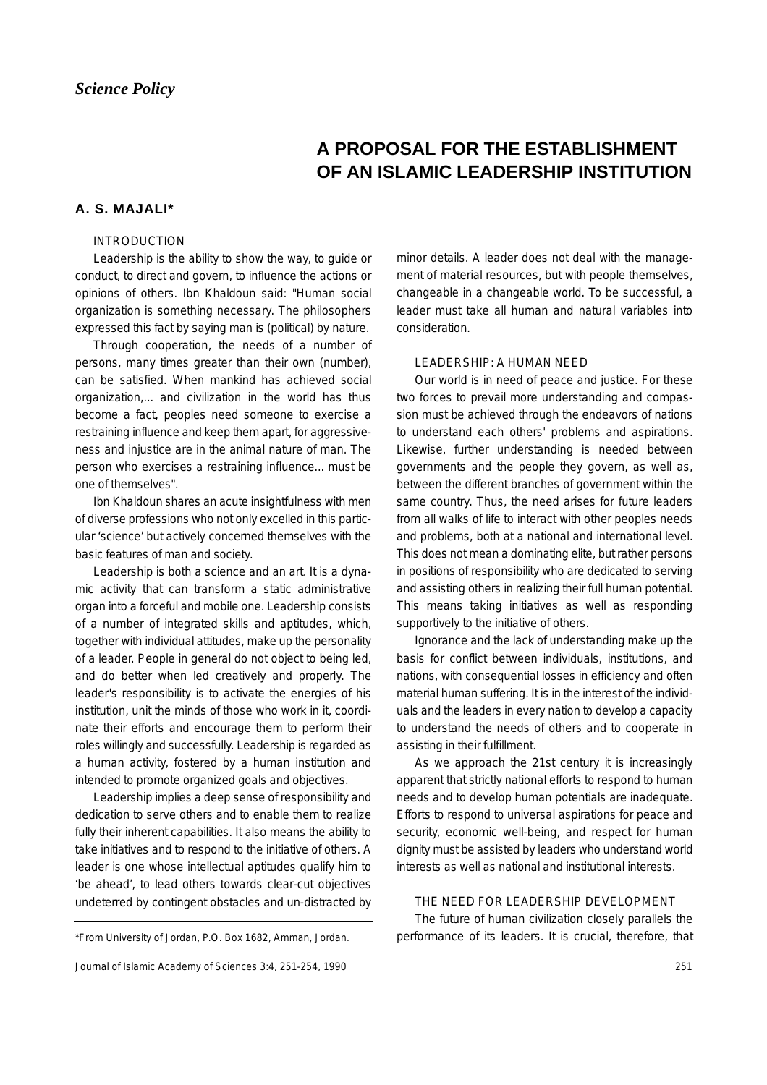# **A PROPOSAL FOR THE ESTABLISHMENT OF AN ISLAMIC LEADERSHIP INSTITUTION**

# **A. S. MAJALI\***

## INTRODUCTION

Leadership is the ability to show the way, to guide or conduct, to direct and govern, to influence the actions or opinions of others. Ibn Khaldoun said: "Human social organization is something necessary. The philosophers expressed this fact by saying man is (political) by nature.

Through cooperation, the needs of a number of persons, many times greater than their own (number), can be satisfied. When mankind has achieved social organization,... and civilization in the world has thus become a fact, peoples need someone to exercise a restraining influence and keep them apart, for aggressiveness and injustice are in the animal nature of man. The person who exercises a restraining influence... must be one of themselves".

Ibn Khaldoun shares an acute insightfulness with men of diverse professions who not only excelled in this particular 'science' but actively concerned themselves with the basic features of man and society.

Leadership is both a science and an art. It is a dynamic activity that can transform a static administrative organ into a forceful and mobile one. Leadership consists of a number of integrated skills and aptitudes, which, together with individual attitudes, make up the personality of a leader. People in general do not object to being led, and do better when led creatively and properly. The leader's responsibility is to activate the energies of his institution, unit the minds of those who work in it, coordinate their efforts and encourage them to perform their roles willingly and successfully. Leadership is regarded as a human activity, fostered by a human institution and intended to promote organized goals and objectives.

Leadership implies a deep sense of responsibility and dedication to serve others and to enable them to realize fully their inherent capabilities. It also means the ability to take initiatives and to respond to the initiative of others. A leader is one whose intellectual aptitudes qualify him to 'be ahead', to lead others towards clear-cut objectives undeterred by contingent obstacles and un-distracted by

```
Journal of Islamic Academy of Sciences 3:4, 251-254, 1990
```
minor details. A leader does not deal with the management of material resources, but with people themselves, changeable in a changeable world. To be successful, a leader must take all human and natural variables into consideration.

#### LEADERSHIP: A HUMAN NEED

Our world is in need of peace and justice. For these two forces to prevail more understanding and compassion must be achieved through the endeavors of nations to understand each others' problems and aspirations. Likewise, further understanding is needed between governments and the people they govern, as well as, between the different branches of government within the same country. Thus, the need arises for future leaders from all walks of life to interact with other peoples needs and problems, both at a national and international level. This does not mean a dominating elite, but rather persons in positions of responsibility who are dedicated to serving and assisting others in realizing their full human potential. This means taking initiatives as well as responding supportively to the initiative of others.

Ignorance and the lack of understanding make up the basis for conflict between individuals, institutions, and nations, with consequential losses in efficiency and often material human suffering. It is in the interest of the individuals and the leaders in every nation to develop a capacity to understand the needs of others and to cooperate in assisting in their fulfillment.

As we approach the 21st century it is increasingly apparent that strictly national efforts to respond to human needs and to develop human potentials are inadequate. Efforts to respond to universal aspirations for peace and security, economic well-being, and respect for human dignity must be assisted by leaders who understand world interests as well as national and institutional interests.

#### THE NEED FOR LEADERSHIP DEVELOPMENT

The future of human civilization closely parallels the \*From University of Jordan, P.O. Box 1682, Amman, Jordan. performance of its leaders. It is crucial, therefore, that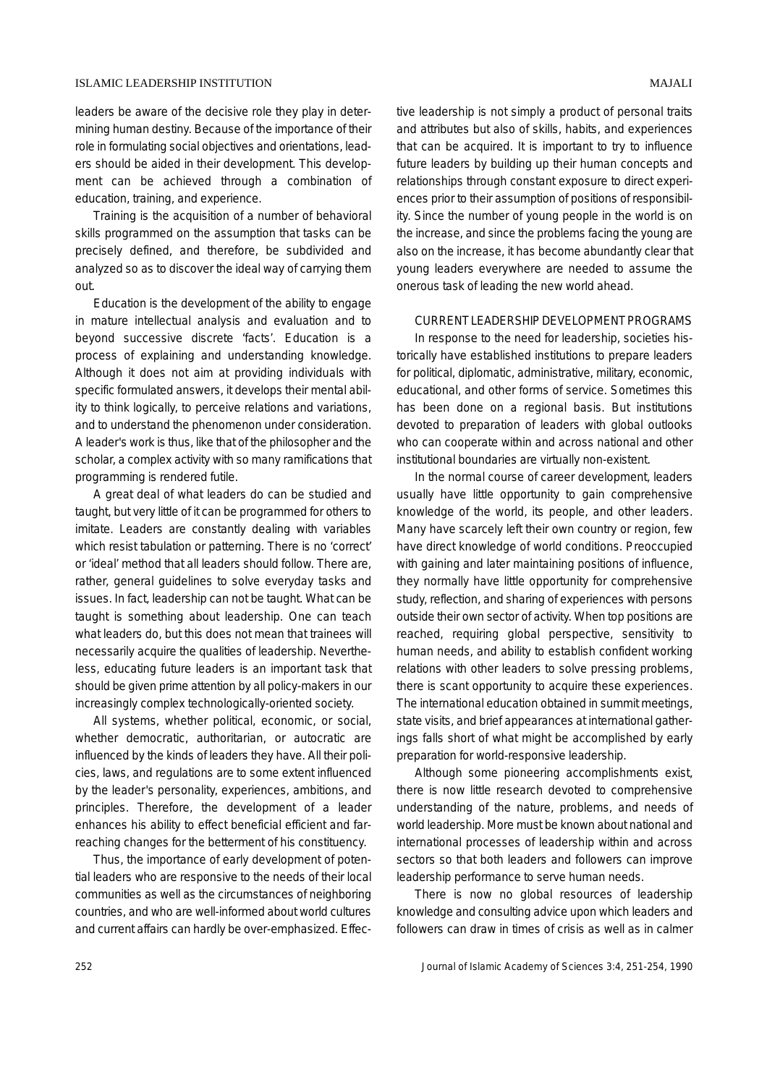leaders be aware of the decisive role they play in determining human destiny. Because of the importance of their role in formulating social objectives and orientations, leaders should be aided in their development. This development can be achieved through a combination of education, training, and experience.

Training is the acquisition of a number of behavioral skills programmed on the assumption that tasks can be precisely defined, and therefore, be subdivided and analyzed so as to discover the ideal way of carrying them out.

Education is the development of the ability to engage in mature intellectual analysis and evaluation and to beyond successive discrete 'facts'. Education is a process of explaining and understanding knowledge. Although it does not aim at providing individuals with specific formulated answers, it develops their mental ability to think logically, to perceive relations and variations, and to understand the phenomenon under consideration. A leader's work is thus, like that of the philosopher and the scholar, a complex activity with so many ramifications that programming is rendered futile.

A great deal of what leaders do can be studied and taught, but very little of it can be programmed for others to imitate. Leaders are constantly dealing with variables which resist tabulation or patterning. There is no 'correct' or 'ideal' method that all leaders should follow. There are, rather, general guidelines to solve everyday tasks and issues. In fact, leadership can not be taught. What can be taught is something about leadership. One can teach what leaders do, but this does not mean that trainees will necessarily acquire the qualities of leadership. Nevertheless, educating future leaders is an important task that should be given prime attention by all policy-makers in our increasingly complex technologically-oriented society.

All systems, whether political, economic, or social, whether democratic, authoritarian, or autocratic are influenced by the kinds of leaders they have. All their policies, laws, and regulations are to some extent influenced by the leader's personality, experiences, ambitions, and principles. Therefore, the development of a leader enhances his ability to effect beneficial efficient and farreaching changes for the betterment of his constituency.

Thus, the importance of early development of potential leaders who are responsive to the needs of their local communities as well as the circumstances of neighboring countries, and who are well-informed about world cultures and current affairs can hardly be over-emphasized. Effective leadership is not simply a product of personal traits and attributes but also of skills, habits, and experiences that can be acquired. It is important to try to influence future leaders by building up their human concepts and relationships through constant exposure to direct experiences prior to their assumption of positions of responsibility. Since the number of young people in the world is on the increase, and since the problems facing the young are also on the increase, it has become abundantly clear that young leaders everywhere are needed to assume the onerous task of leading the new world ahead.

#### CURRENT LEADERSHIP DEVELOPMENT PROGRAMS

In response to the need for leadership, societies historically have established institutions to prepare leaders for political, diplomatic, administrative, military, economic, educational, and other forms of service. Sometimes this has been done on a regional basis. But institutions devoted to preparation of leaders with global outlooks who can cooperate within and across national and other institutional boundaries are virtually non-existent.

In the normal course of career development, leaders usually have little opportunity to gain comprehensive knowledge of the world, its people, and other leaders. Many have scarcely left their own country or region, few have direct knowledge of world conditions. Preoccupied with gaining and later maintaining positions of influence, they normally have little opportunity for comprehensive study, reflection, and sharing of experiences with persons outside their own sector of activity. When top positions are reached, requiring global perspective, sensitivity to human needs, and ability to establish confident working relations with other leaders to solve pressing problems, there is scant opportunity to acquire these experiences. The international education obtained in summit meetings, state visits, and brief appearances at international gatherings falls short of what might be accomplished by early preparation for world-responsive leadership.

Although some pioneering accomplishments exist, there is now little research devoted to comprehensive understanding of the nature, problems, and needs of world leadership. More must be known about national and international processes of leadership within and across sectors so that both leaders and followers can improve leadership performance to serve human needs.

There is now no global resources of leadership knowledge and consulting advice upon which leaders and followers can draw in times of crisis as well as in calmer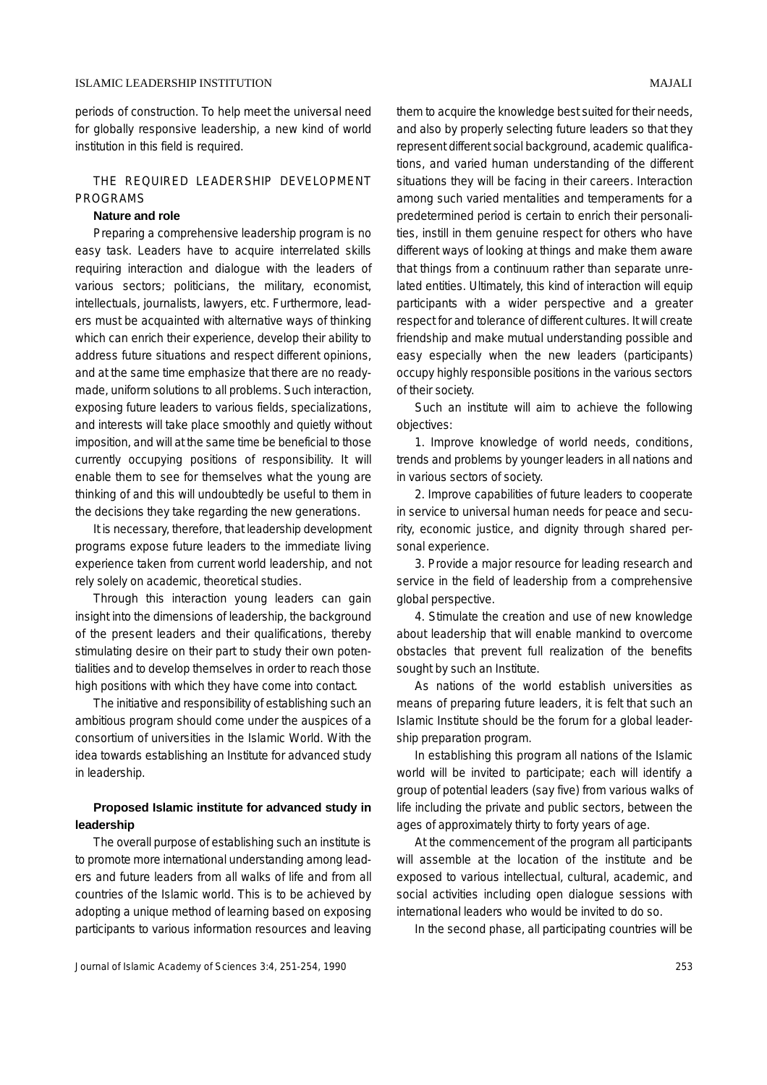periods of construction. To help meet the universal need for globally responsive leadership, a new kind of world institution in this field is required.

## THE REQUIRED LEADERSHIP DEVELOPMENT PROGRAMS

#### **Nature and role**

Preparing a comprehensive leadership program is no easy task. Leaders have to acquire interrelated skills requiring interaction and dialogue with the leaders of various sectors; politicians, the military, economist, intellectuals, journalists, lawyers, etc. Furthermore, leaders must be acquainted with alternative ways of thinking which can enrich their experience, develop their ability to address future situations and respect different opinions, and at the same time emphasize that there are no readymade, uniform solutions to all problems. Such interaction, exposing future leaders to various fields, specializations, and interests will take place smoothly and quietly without imposition, and will at the same time be beneficial to those currently occupying positions of responsibility. It will enable them to see for themselves what the young are thinking of and this will undoubtedly be useful to them in the decisions they take regarding the new generations.

It is necessary, therefore, that leadership development programs expose future leaders to the immediate living experience taken from current world leadership, and not rely solely on academic, theoretical studies.

Through this interaction young leaders can gain insight into the dimensions of leadership, the background of the present leaders and their qualifications, thereby stimulating desire on their part to study their own potentialities and to develop themselves in order to reach those high positions with which they have come into contact.

The initiative and responsibility of establishing such an ambitious program should come under the auspices of a consortium of universities in the Islamic World. With the idea towards establishing an Institute for advanced study in leadership.

# **Proposed Islamic institute for advanced study in leadership**

The overall purpose of establishing such an institute is to promote more international understanding among leaders and future leaders from all walks of life and from all countries of the Islamic world. This is to be achieved by adopting a unique method of learning based on exposing participants to various information resources and leaving them to acquire the knowledge best suited for their needs, and also by properly selecting future leaders so that they represent different social background, academic qualifications, and varied human understanding of the different situations they will be facing in their careers. Interaction among such varied mentalities and temperaments for a predetermined period is certain to enrich their personali-

ties, instill in them genuine respect for others who have different ways of looking at things and make them aware that things from a continuum rather than separate unrelated entities. Ultimately, this kind of interaction will equip participants with a wider perspective and a greater respect for and tolerance of different cultures. It will create friendship and make mutual understanding possible and easy especially when the new leaders (participants) occupy highly responsible positions in the various sectors of their society.

Such an institute will aim to achieve the following objectives:

1. Improve knowledge of world needs, conditions, trends and problems by younger leaders in all nations and in various sectors of society.

2. Improve capabilities of future leaders to cooperate in service to universal human needs for peace and security, economic justice, and dignity through shared personal experience.

3. Provide a major resource for leading research and service in the field of leadership from a comprehensive global perspective.

4. Stimulate the creation and use of new knowledge about leadership that will enable mankind to overcome obstacles that prevent full realization of the benefits sought by such an Institute.

As nations of the world establish universities as means of preparing future leaders, it is felt that such an Islamic Institute should be the forum for a global leadership preparation program.

In establishing this program all nations of the Islamic world will be invited to participate; each will identify a group of potential leaders (say five) from various walks of life including the private and public sectors, between the ages of approximately thirty to forty years of age.

At the commencement of the program all participants will assemble at the location of the institute and be exposed to various intellectual, cultural, academic, and social activities including open dialogue sessions with international leaders who would be invited to do so.

In the second phase, all participating countries will be